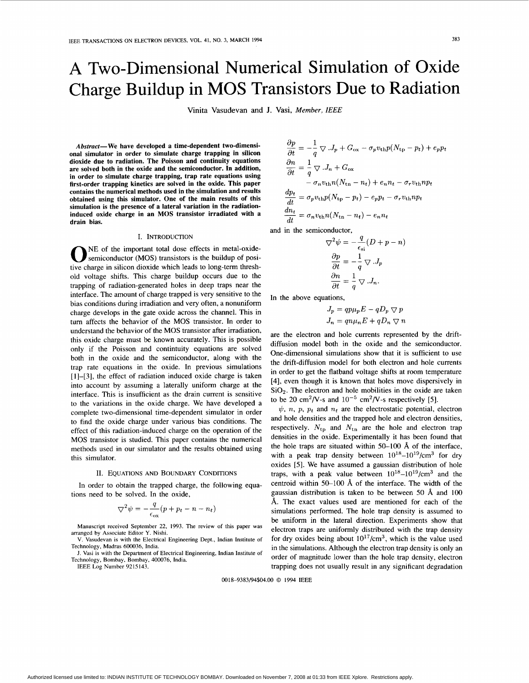# **A** Two-Dimensional Numerical Simulation of Oxide Charge Buildup in MOS Transistors Due to Radiation

Vinita Vasudevan and **J.** Vasi, *Member, IEEE* 

*Abstract-* **We have developed a time-dependent two-dimensional simulator in order to simulate charge trapping in silicon dioxide due to radiation. The Poisson and continuity equations are solved both in the oxide and the semiconductor. In addition, in order to simulate charge trapping, trap rate equations using first-order trapping kinetics are solved in the oxide. This paper contains the numerical methods used in the simulation and results obtained using this simulator. One of the main results of this simulation is the presence of a lateral variation in the radiationinduced oxide charge in an MOS transistor irradiated with a drain bias.** 

## I. INTRODUCTION

NE of the important total dose effects in metal-oxide- **0** semiconductor (MOS) transistors is the buildup of positive charge in silicon dioxide which leads to long-term threshold voltage shifts. This charge buildup occurs due to the trapping of radiation-generated holes in deep traps near the interface. The amount of charge trapped is very sensitive to the bias conditions during irradiation and very often, a nonuniform charge develops in the gate oxide across the channel. This in turn affects the behavior of the MOS transistor. **In** order to understand the behavior of the MOS transistor after irradiation, this oxide charge must be known accurately. This is possible only if the Poisson and contintuity equations are solved both in the oxide and the semiconductor, along with the trap rate equations in the oxide. In previous simulations [1]-[3], the effect of radiation induced oxide charge is taken into account by assuming a laterally uniform charge at the interface. This is insufficient as the drain current is sensitive to the variations in the oxide charge. We have developed a complete two-dimensional time-dependent simulator in order to find the oxide charge under various bias conditions. The effect of this radiation-induced charge on the operation of the MOS transistor is studied. This paper contains the numerical methods used in our simulator and the results obtained using this simulator.

#### 11. EQUATIONS AND BOUNDARY CONDITIONS

In order to obtain the trapped charge, the following equations need to be solved. In the oxide,

$$
\nabla^2 \psi = -\frac{q}{\epsilon_{\text{ox}}} (p + p_t - n - n_t)
$$

Manuscript received September 22, 1993. The review **of** this paper was arranged by Associate Editor Y. Nishi.

V. Vasudevan is with the Electrical Engineering Dept., Indian Institute **of**  Technology, Madras 600036, India.

**J.** Vasi is with the Department **of** Electrical Engineering, Indian Institute of Technology, Bombay, Bombay, 400076, India.

IEEE Log Number 9215143.

$$
\frac{\partial p}{\partial t} = -\frac{1}{q} \nabla \cdot J_p + G_{\text{ox}} - \sigma_p v_{\text{th}} p (N_{\text{tp}} - p_t) + e_p p_t
$$
  
\n
$$
\frac{\partial n}{\partial t} = \frac{1}{q} \nabla \cdot J_n + G_{\text{ox}}
$$
  
\n
$$
- \sigma_n v_{\text{th}} n (N_{\text{tn}} - n_t) + e_n n_t - \sigma_r v_{\text{th}} n p_t
$$
  
\n
$$
\frac{dp_t}{dt} = \sigma_p v_{\text{th}} p (N_{\text{tp}} - p_t) - e_p p_t - \sigma_r v_{\text{th}} n p_t
$$
  
\n
$$
\frac{dn_t}{dt} = \sigma_n v_{\text{th}} n (N_{\text{tn}} - n_t) - e_n n_t
$$

and in the semiconductor,

$$
\nabla^2 \psi = -\frac{q}{\epsilon_{si}} (D + p - n)
$$

$$
\frac{\partial p}{\partial t} = -\frac{1}{q} \nabla J_p
$$

$$
\frac{\partial n}{\partial t} = \frac{1}{q} \nabla J_n.
$$

In the above equations,

$$
J_p = qp\mu_p E - qD_p \nabla p
$$
  

$$
J_n = qn\mu_n E + qD_n \nabla n
$$

are the electron and hole currents represented by the driftdiffusion model both in the oxide and the semiconductor. One-dimensional simulations show that it is sufficient to use the drift-diffusion model for both electron and hole currents in order to get the flatband voltage shifts at room temperature [4], even though it is known that holes move dispersively in  $SiO<sub>2</sub>$ . The electron and hole mobilities in the oxide are taken to be 20 cm<sup>2</sup>/V-s and  $10^{-5}$  cm<sup>2</sup>/V-s respectively [5].

 $\psi$ , *n*, *p*, *p<sub>t</sub>* and *n<sub>t</sub>* are the electrostatic potential, electron and hole densities and the trapped hole and electron densities, respectively.  $N_{\text{tp}}$  and  $N_{\text{tn}}$  are the hole and electron trap densities in the oxide. Experimentally it has been found that the hole traps are situated within 50-100 **8,** of the interface, with a peak trap density between  $10^{18}-10^{19}/\text{cm}^3$  for dry oxides *[5].* We have assumed a gaussian distribution of hole traps, with a peak value between  $10^{18}-10^{19}/\text{cm}^3$  and the centroid within 50–100 Å of the interface. The width of the gaussian distribution is taken to be between 50 **8,** and 100 **A.** The exact values used are mentioned for each of the simulations performed. The hole trap density is assumed to be uniform in the lateral direction. Experiments show that electron traps are uniformly distributed with the trap density for dry oxides being about  $10^{17}$ /cm<sup>3</sup>, which is the value used in the simulations. Although the electron trap density is only an order of magnitude lower than the hole trap density, electron trapping does not usually result in any significant degradation

0018-9383/94\$04,00 *0* 1994 IEEE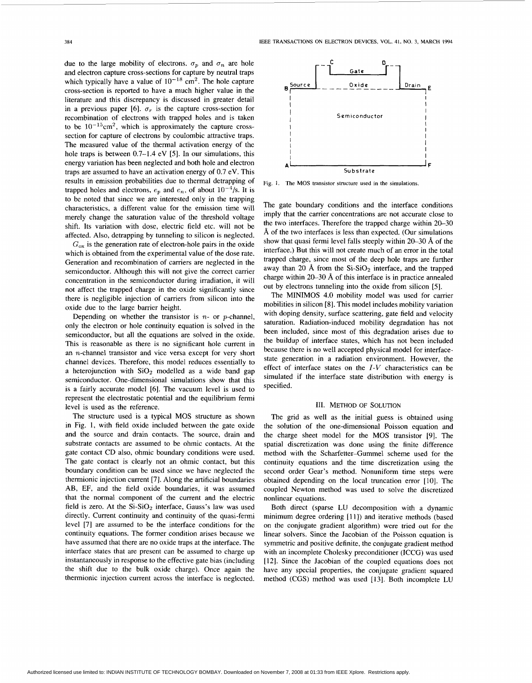due to the large mobility of electrons.  $\sigma_n$  and  $\sigma_n$  are hole and electron capture cross-sections for capture by neutral traps which typically have a value of  $10^{-18}$  cm<sup>2</sup>. The hole capture cross-section is reported to have a much higher value in the literature and this discrepancy is discussed in greater detail in a previous paper [6].  $\sigma_r$  is the capture cross-section for recombination of electrons with trapped holes and is taken to be  $10^{-15}$ cm<sup>2</sup>, which is approximately the capture crosssection for capture of electrons by coulombic attractive traps. The measured value of the thermal activation energy of the hole traps is between 0.7-1.4 eV [5]. In our simulations, this energy variation has been neglected and both hole and electron traps are assumed to have an activation energy of 0.7 eV. This results in emission probabilities due to thermal detrapping of trapped holes and electrons,  $e_p$  and  $e_n$ , of about  $10^{-4}/s$ . It is to be noted that since we are interested only in the trapping characteristics, a different value for the emission time will merely change the saturation value of the threshold voltage shift. Its variation with dose, electric field etc. will not be affected. Also, detrapping by tunneling to silicon is neglected.

 $G_{\text{ox}}$  is the generation rate of electron-hole pairs in the oxide which is obtained from the experimental value of the dose rate. Generation and recombination of carriers are neglected in the semiconductor. Although this will not give the correct carrier concentration in the semiconductor during irradiation, it will not affect the trapped charge in the oxide significantly since there is negligible injection of carriers from silicon into the oxide due to the large barrier height.

Depending on whether the transistor is  $n-$  or p-channel, only the electron or hole continuity equation is solved in the semiconductor, but all the equations are solved in the oxide. This is reasonable as there is no significant hole current in an n-channel transistor and vice versa except for very short channel devices. Therefore, this model reduces essentially to a heterojunction with  $SiO<sub>2</sub>$  modelled as a wide band gap semiconductor. One-dimensional simulations show that this is a fairly accurate model [6]. The vacuum level is used to represent the electrostatic potential and the equilibrium fermi level is used as the reference.

The structure used is a typical MOS structure as shown in Fig. 1, with field oxide included between the gate oxide and the source and drain contacts. The source, drain and substrate contacts are assumed to be ohmic contacts. At the gate contact CD also, ohmic boundary conditions were used, The gate contact is clearly not an ohmic contact, but this boundary condition can be used since we have neglected the thermionic injection current [7]. Along the artificial boundaries AB, EF, and the field oxide boundaries, it was assumed that the normal component **of** the current and the electric field is zero. At the  $Si-SiO<sub>2</sub>$  interface, Gauss's law was used directly. Current continuity and continuity of the quasi-fermi level [7] are assumed to be the interface conditions for the continuity equations. The former condition arises because we have assumed that there are no oxide traps at the interface. The interface states that are present can be assumed to charge up instantaneously in response to the effective gate bias (including the shift due to the bulk oxide charge). Once again the thermionic injection current across the interface is neglected.



**Fig. 1. The MOS transistor structure** used **in the simulations.** 

The gate boundary conditions and the interface conditions imply that the carrier concentrations are not accurate close to the two interfaces. Therefore the trapped charge within 20-30 *8,* of the two interfaces is less than expected. (Our simulations show that quasi fermi level falls steeply within 20-30 *8,* of the interface.) But this will not create much of an error in the total trapped charge, since most of the deep hole traps are further away than 20 Å from the  $Si-SiO<sub>2</sub>$  interface, and the trapped charge within 20-30 *8,* of this interface is in practice annealed out by electrons tunneling into the oxide from silicon *[5].* 

The MINIMOS 4.0 mobility model was used for carrier mobilities in silicon [SI. This model includes mobility variation with doping density, surface scattering, gate field and velocity saturation. Radiation-induced mobility degradation has not been included, since most of this degradation arises due to the buildup of interface states, which has not been included because there is no well accepted physical model for interfacestate generation in a radiation environment. However, the effect of interface states on the *I-V* characteristics can be simulated if the interface state distribution with energy is specified.

### 111. METHOD OF SOLUTION

The grid as well as the initial guess is obtained using the solution of the one-dimensional Poisson equation and the charge sheet model for the MOS transistor 191. The spatial discretization was done using the finite difference method with the Scharfetter-Gummel scheme used for the continuity equations and the time discretization using the second order Gear's method. Nonuniform time steps were obtained depending on the local truncation error [lo]. The coupled Newton method was used to solve the discretized nonlinear equations.

Both direct (sparse LU decomposition with a dynamic minimum degree ordering [11]) and iterative methods (based on the conjugate gradient algorithm) were tried out for the linear solvers. Since the Jacobian of the Poisson equation is symmetric and positive definite, the conjugate gradient method with an incomplete Cholesky preconditioner (ICCG) was used [12]. Since the Jacobian of the coupled equations does not have any special properties, the conjugate gradient squared method (CGS) method was used [13]. Both incomplete LU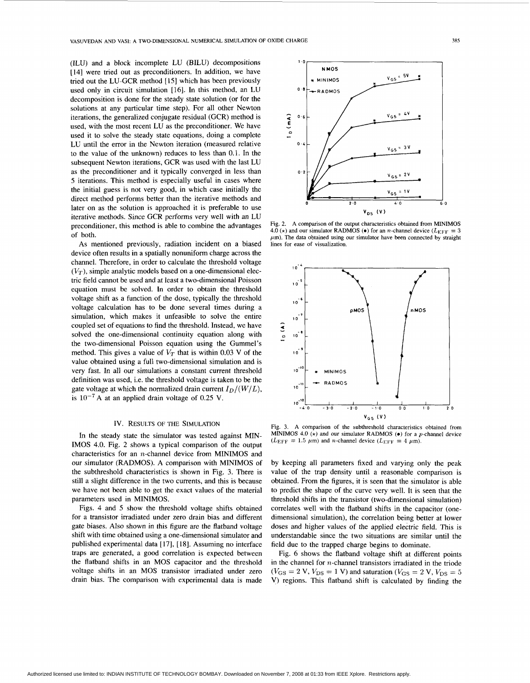(ILU) and a block incomplete LU (BILU) decompositions [14] were tried out as preconditioners. In addition, we have tried out the LU-GCR method [ **151** which has been previously used only in circuit simulation [16]. **In** this method, an LU decomposition is done for the steady state solution **(or** for the solutions at any particular time step). For all other Newton iterations, the generalized conjugate residual (GCR) method is used, with the most recent LU as the preconditioner. We have used it to solve the steady state equations, doing a complete LU until the error in the Newton iteration (measured relative to the value of the unknown) reduces to less than 0.1. In the subsequent Newton iterations, GCR was used with the last LU as the preconditioner and it typically converged in less than 5 iterations. This method is especially useful in cases where the initial guess is not very good, in which case initially the direct method performs better than the iterative methods and later on as the solution is approached it is preferable to use iterative methods. Since GCR performs very well with an LU preconditioner, this method is able to combine the advantages of both.

**As** mentioned previously, radiation incident on a biased device often results in a spatially nonuniform charge across the channel. Therefore, in order to calculate the threshold voltage  $(V_T)$ , simple analytic models based on a one-dimensional electric field cannot be used and at least a two-dimensional Poisson equation must be solved. **In** order to obtain the threshold voltage shift as a function of the dose, typically the threshold voltage calculation has to be done several times during a simulation, which makes it unfeasible to solve the entire coupled set of equations to find the threshold. Instead, we have solved the one-dimensional continuity equation along with the two-dimensional Poisson equation using the Gummel's method. This gives a value of  $V_T$  that is within 0.03 V of the value obtained using a full two-dimensional simulation and is very fast. In all our simulations a constant current threshold definition was used, i.e. the threshold voltage is taken to be the gate voltage at which the normalized drain current  $I_D/(W/L)$ , is  $10^{-7}$  A at an applied drain voltage of 0.25 V.

## Iv. RESULTS OF THE SIMULATION

In the steady state the simulator was tested against MIN-IMOS 4.0. Fig. 2 shows a typical comparison of the output characteristics for an n-channel device from MINIMOS and our simulator (RADMOS). **A** comparison with MINIMOS of the subthreshold characteristics is shown in Fig. 3. There is still a slight difference in the two currents, and this is because we have not been able to get the exact values of the material parameters used in MINIMOS.

[Figs. 4](#page-3-0) and 5 show the threshold voltage shifts obtained for a transistor irradiated under zero drain bias and different gate biases. Also shown in this figure are the flatband voltage shift with time obtained using a one-dimensional simulator and published experimental data [ 171, [ **181.** Assuming no interface traps are generated, a good correlation is expected between the flatband shifts in an MOS capacitor and the threshold voltage shifts in an MOS transistor irradiated under zero drain bias. The comparison with experimental data is made

Fig. 2. A comparison of the output characteristics obtained from **MINIMOS**  4.0 ( $\star$ ) and our simulator RADMOS ( $\bullet$ ) for an *n*-channel device ( $L_{\text{EFF}} = 3$  $\mu$ m). The data obtained using our simulator have been connected by straight lines for ease of visualization.

 $2.0$ 

v,, **(V)** 

 $V_{GS} = \frac{5V}{\sqrt{2}}$ 

ء ، ا  $v_{GS}$  = 1V

 $4.0$ 

**1.0** 

**NMOS** 

**MINIMOS** RADMOS

**0 -8** 

**0'6** 

 $\mathbf{0}$ 

**E**  *Y 0* -  $\mathbf{0}$ .



Fig. 3. A comparison of the subthreshold characteristics obtained from MINIMOS 4.0  $(*)$  and our simulator RADMOS  $(*)$  for a *p*-channel device  $(L_{\text{EFF}} = 1.5 \ \mu \text{m})$  and *n*-channel device  $(L_{\text{EFF}} = 4 \ \mu \text{m})$ .

by keeping all parameters fixed and varying only the peak value of the trap density until a reasonable comparison is obtained. From the figures, it is seen that the simulator is able to predict the shape of the curve very well. It is seen that the threshold shifts in the transistor (two-dimensional simulation) correlates well with the flatband shifts in the capacitor (onedimensional simulation), the correlation being better at lower doses and higher values of the applied electric field. This is understandable since the two situations are similar until the field due to the trapped charge begins to dominate.

Fig. 6 shows the flatband voltage shift at different points in the channel for n-channel transistors irradiated in the triode  $(V_{GS} = 2 \text{ V}, V_{DS} = 1 \text{ V})$  and saturation  $(V_{GS} = 2 \text{ V}, V_{DS} = 5$ V) regions. This flatband shift is calculated by finding the

 $\overline{6}\cdot 0$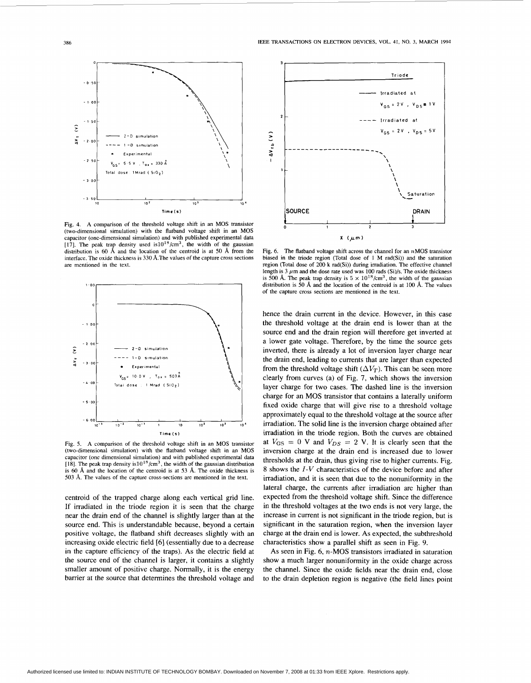<span id="page-3-0"></span>

Fig. **4. A** comparison of the threshold voltage shift in an MOS transistor (two-dimensional simulation) with the flatband voltage shift in an MOS capacitor (one-dimensional simulation) and with published experimental data [17]. The peak trap density used  $is10^{18}/cm^3$ , the width of the gaussian distribution is *60* **A** and the location of the centroid **is** at *50* **A** from the interface. The oxide thickness is *330* A.The values of the capture cross sections are mentioned in the text.



Fig. *5.* **A** comparison of the threshold voltage shift in an MOS transistor (two-dimensional simulation) with the flatband voltage shift in an MOS capacitor (one dimensional simulation) and with published experimental data [18]. The peak trap density is  $10^{18}$ /cm<sup>3</sup>, the width of the gaussian distribution is *60* **A** and the location of the centroid is at *53* A. The oxide thickness is *503* **A.** The values of the capture cross-sections are mentioned in the text.

centroid of the trapped charge along each vertical grid line. If irradiated in the triode region it is seen that the charge near the drain end of the channel is slightly larger than at the source end. This is understandable because, beyond a certain positive voltage, the flatband shift decreases slightly with an increasing oxide electric field **[6]** (essentially due to a decrease in the capture efficiency of the traps). **As** the electric field at the source end of the channel is larger, it contains a slightly smaller amount of positive charge. Normally, it is the energy barrier at the source that determines the threshold voltage and



Fig. 6. The flatband voltage shift across the channel for an **nMOS** transistor biased in **the** triode region (Total dose of 1 **M** rad(Si)) and the saturation region (Total dose of 200 **k** rad(Si)) during irradiation. **The** effective channel length is  $3 \mu$ m and the dose rate used was 100 rads (Si)/s. The oxide thickness is 500 Å. The peak trap density is  $5 \times 10^{18}/\text{cm}^3$ , the width of the gaussian distribution is *50* **A** and the location of the centroid is at 100 **A.** The values **of** the capture cross sections **are** mentioned in the text.

hence the drain current in the device. However, in this case the threshold voltage at the drain end is lower **than** at the source end and the drain region will therefore get inverted at a lower gate voltage. Therefore, by the time the source gets inverted, there is already a lot of inversion layer charge near the drain end, leading to currents that are larger than expected from the threshold voltage shift  $(\Delta V_T)$ . This can be seen more clearly from curves (a) of Fig. 7, which shows the inversion layer charge for two cases. The dashed line is the inversion charge for an MOS transistor that contains a laterally uniform fixed oxide charge that will give rise to a threshold voltage approximately equal to the threshold voltage at the source after irradiation. The solid line is the inversion charge obtained after irradiation in the triode region. Both the curves are obtained at  $V_{GS} = 0$  V and  $V_{DS} = 2$  V. It is clearly seen that the inversion charge at the drain end is increased due to lower thresholds at the drain, thus giving rise to higher currents. [Fig.](#page-4-0) [8](#page-4-0) shows the *I-V* characteristics of the device before and after irradiation, and it is seen that due to the nonunifomity in the lateral charge, the currents after irradiation are higher than expected from the threshold voltage shift. Since the difference in the threshold voltages at the two ends **is** not very large, the increase in current is not significant in the triode region, but is significant in the saturation region, when the inversion layer charge at the drain end is lower. **As** expected, the subthreshold characteristics show a parallel shift as seen in Fig. 9.

**As** seen in Fig. **6,** n-MOS transistors irradiated in saturation show a much larger nonuniformity in the oxide charge across the channel. Since the oxide fields near the drain end, close to the drain depletion region is negative (the field lines point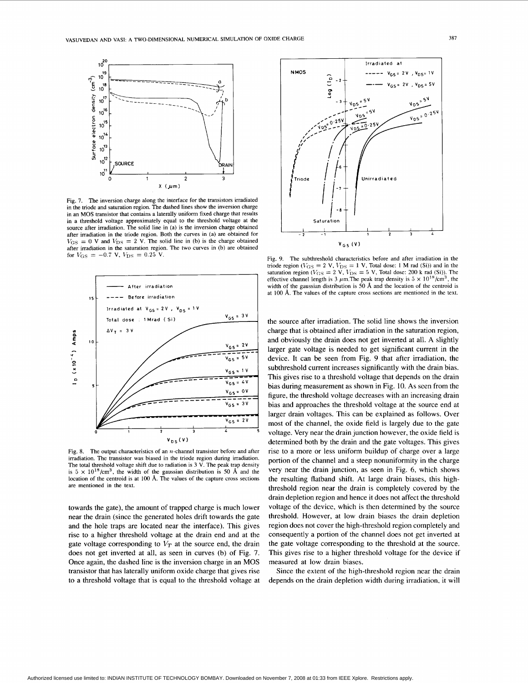<span id="page-4-0"></span>

Fig. 7. The inversion charge along the interface for the transistors irradiated in the triode and saturation region. The dashed lines show the inversion charge in an **MOS** transistor that contains a laterally uniform fixed charge that results in a threshold voltage approximately equal to the threshold voltage at the source after irradiation. The solid line in (a) is the inversion charge obtained after irradiation in the triode region. Both the curves in (a) are obtained for  $V_{\text{GS}} = 0$  V and  $V_{\text{DS}} = 2$  V. The solid line in (b) is the charge obtained for  $V_{\text{GS}} = -0.7 \text{ V}$ ,  $V_{\text{DS}} = 0.25 \text{ V}$ .



Fig. 8. The output characteristics of an  $n$ -channel transistor before and after irradiation. The transistor was biased in the triode region during irradiation. The total threshold voltage shift due to radiation is **3** V. The **peak** trap density is  $5 \times 10^{18}$ /cm<sup>3</sup>, the width of the gaussian distribution is 50 Å and the location **of** the centroid **is** at 100 A. The values of the capture cross sections are mentioned in the text.

towards the gate), the amount of trapped charge is much lower near the drain (since the generated holes drift towards the gate and the hole traps are located near the interface). This gives rise to a higher threshold voltage at the drain end and at the gate voltage corresponding to  $V_T$  at the source end, the drain does not get inverted at all, as seen in curves (b) of Fig. 7. Once again, the dashed line is the inversion charge in an MOS transistor that has laterally uniform oxide charge that gives rise to a threshold voltage that is equal to the threshold voltage at



Fig. 9. The subthreshold characteristics before and after irradiation in the triode region ( $V_{\text{GS}} = 2$  V,  $V_{\text{DS}} = 1$  V, Total dose: 1 M rad (Si)) and in the saturation region ( $V_{\text{GS}} = 2$  V,  $V_{\text{DS}} = 5$  V, Total dose: 200 k rad (Si)). The effective channel length is 3  $\mu$ m. The peak trap density is  $5 \times 10^{18}/\text{cm}^3$ , the width of the gaussian distribution is 50 Å and the location of the centroid is at 100 Å. The values of the capture cross sections are mentioned in the text.

the source after irradiation. The solid line shows the inversion charge that is obtained after irradiation in the saturation region, and obviously the drain does not get inverted at all. A slightly larger gate voltage is needed to get significant current in the device. It can be seen from Fig. 9 that after irradiation, the subthreshold current increases significantly with the drain bias. This gives rise to a threshold voltage that depends on the drain bias during measurement as shown in Fig. 10. **As** seen from the figure, the threshold voltage decreases with an increasing drain bias and approaches the threshold voltage at the source end at larger drain voltages. This can be explained as follows. Over most of the channel, the oxide field is largely due to the gate voltage. Very near the drain junction however, the oxide field is determined both by the drain and the gate voltages. This gives rise to a more or less uniform buildup of charge over a large portion of the channel and a steep nonuniformity in the charge very near the drain junction, as seen in Fig. 6, which shows the resulting flatband shift. At large drain biases, this highthreshold region near the drain is completely covered by the drain depletion region and hence it does not affect the threshold voltage of the device, which is then determined by the source threshold. However, at low drain biases the drain depletion region does not cover the high-threshold region completely and consequently a portion of the channel does not get inverted at the gate voltage corresponding to the threshold at the source. This gives rise to a higher threshold voltage for the device if measured at low drain biases.

Since the extent of the high-threshold region near the drain depends on the drain depletion width during irradiation, it will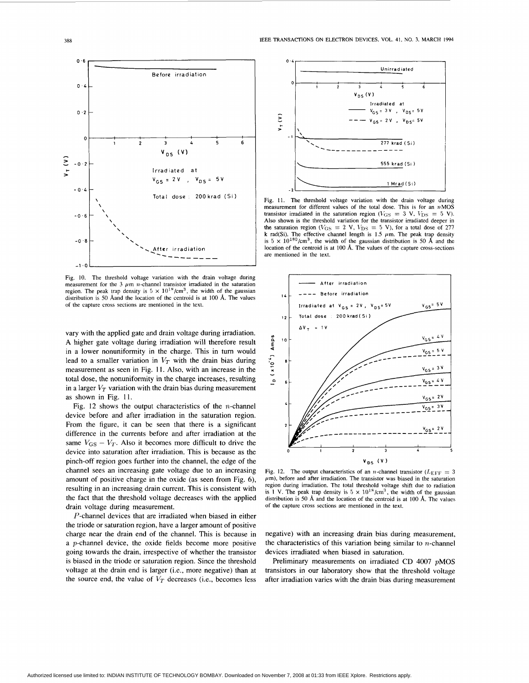

Fig. IO. The threshold voltage variation with the drain voltage during measurement for the 3  $\mu$ m *n*-channel transistor irradiated in the saturation region. The peak trap density is  $5 \times 10^{18} / \text{cm}^3$ , the width of the gaussian distribution is 50 Aand the location of the centroid is at 100 A. The values of the capture cross sections *are* mentioned in the text.

vary with the applied gate and drain voltage during irradiation. **A** higher gate voltage during irradiation will therefore result in a lower nonuniformity in the charge. This in turn would lead to a smaller variation in  $V_T$  with the drain bias during measurement as seen in Fig. **11.** Also, with an increase in the total dose, the nonuniformity in the charge increases, resulting in a larger  $V_T$  variation with the drain bias during measurement as shown in Fig. 11.

Fig. 12 shows the output characteristics of the *n*-channel device before and after irradiation in the saturation region. From the figure, it can be seen that there is a significant difference in the currents before and after irradiation at the same  $V_{GS} - V_T$ . Also it becomes more difficult to drive the device into saturation after irradiation. This is because as the pinch-off region goes further into the channel, the edge of the channel sees an increasing gate voltage due to an increasing amount of positive charge in the oxide (as seen from Fig. *6),*  resulting in an increasing drain current. This is consistent with the fact that the threshold voltage decreases with the applied drain voltage during measurement.

P-channel devices that are irradiated when biased in either the triode or saturation region, have a larger amount of positive charge near the drain end of the channel. This is because in a p-channel device, the oxide fields become more positive going towards the drain, irrespective of whether the transistor is biased in the triode or saturation region. Since the threshold voltage at the drain end is larger (i.e., more negative) than at the source end, the value of  $V_T$  decreases (i.e., becomes less



Fig. 11. **The** threshold voltage variation with the drain voltage during measurement **for** different values **of** the total dose. This is for an **nMOS**  transistor irradiated in the saturation region ( $V_{\text{GS}} = 3$  V,  $V_{\text{DS}} = 5$  V). **Also** shown is the threshold variation for the transistor irradiated deeper in the saturation region ( $V_{\text{GS}} = 2$  V,  $V_{\text{DS}} = 5$  V), for a total dose of 277 location of the centroid is at 100 A. The values of the capture cross-sections *are* mentioned in the text.



Fig. 12. The output characteristics of an *n*-channel transistor  $(L_{\text{EFF}} = 3)$  $\mu$ m), before and after irradiation. The transistor was biased in the saturation region during irradiation. **The** total threshold voltage shift due to radiation is **1 V.** The peak trap density is  $5 \times 10^{18}/\text{cm}^3$ , the width of the gaussian distribution is 50 *8,* and the location of the centroid is at 100 A. The values of the capture cross sections are mentioned in the text.

negative) with an increasing drain bias during measurement, the characteristics of this variation being similar to  $n$ -channel devices irradiated when biased in saturation.

Preliminary measurements on irradiated CD 4007 pMOS transistors in our laboratory show that the threshold voltage after irradiation varies with the drain bias during measurement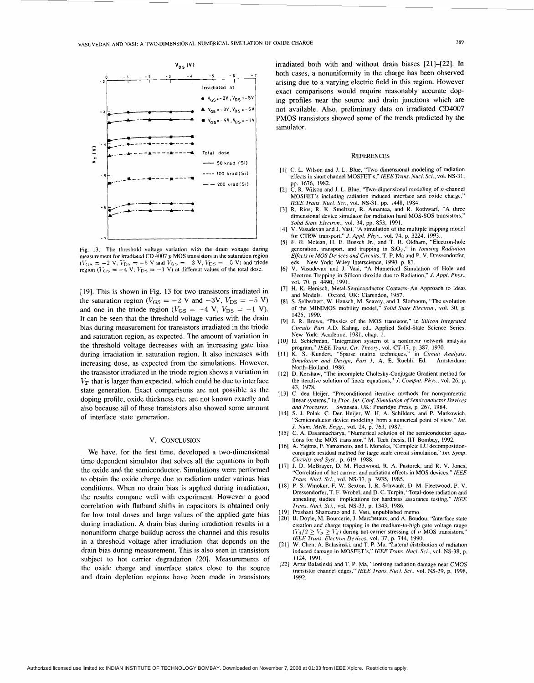

Fig. 13. The threshold voltage variation with the drain voltage during measurement **for** irradiated CD 4007 *p* MOS transistors in the saturation region  $(V_{\text{GS}} = -2 \text{ V}, V_{\text{DS}} = -5 \text{ V}$  and  $V_{\text{GS}} = -3 \text{ V}, V_{\text{DS}} = -5 \text{ V}$ ) and triode region  $(V_{\text{GS}} = -4 \text{ V}, V_{\text{DS}} = -1 \text{ V})$  at different values of the total dose.

[19]. This is shown in Fig. 13 for two transistors irradiated in the saturation region  $(V_{GS} = -2 \text{ V and } -3 \text{ V}, V_{DS} = -5 \text{ V})$ and one in the triode region  $(V_{\text{GS}} = -4 \text{ V}, V_{\text{DS}} = -1 \text{ V}).$ **It** can be seen that the threshold voltage varies with the drain bias during measurement for transistors irradiated in the triode and saturation region, as expected. The amount of variation in the threshold voltage decreases with an increasing gate bias during irradiation in saturation region. It also increases with increasing dose, as expected from the simulations. However, the transistor irradiated in the triode region shows a variation in  $V_T$  that is larger than expected, which could be due to interface state generation. Exact comparisons are not possible as the doping profile, oxide thickness etc. are not known exactly and also because all of these transistors also showed some amount of interface state generation.

# v. CONCLUSION

We have, for the first time, developed a two-dimensional time-dependent simulator that solves all the equations in both the oxide and the semiconductor. Simulations were performed to obtain the oxide charge due to radiation under various bias conditions. When no drain bias is applied during irradiation, the results compare well with experiment. However a good correlation with flatband shifts in capacitors is obtained only for low total doses and large values of the applied gate bias during irradiation. **A** drain bias during irradiation results in a nonuniform charge buildup across the channel and this results in a threshold voltage after irradiation, that depends on the drain bias during measurement. This is also seen in transistors subject to hot carrier degradation [20]. Measurements of the oxide charge and interface states close to the source and drain depletion regions have been made in transistors

irradiated both with and without drain biases [21]-[22]. In both cases, a nonuniformity in the charge has been observed arising due to a varying electric field in this region. However exact comparisons would require reasonably accurate doping profiles near the source and drain junctions which are not available. Also, preliminary data on irradiated CD4007 PMOS transistors showed some of the trends predicted by the simulator.

#### **REFERENCES**

- [I] C. **L.** Wilson and J. L. Blue, "Two dimensional modeling of radiation effects in short channel MOSFET's." *IEEE Trans. Nuc/. Sci.,* vol. NS-3 I,
- pp. 1676, 1982.<br>[2] C. R. Wilson and J. L. Blue. "Two-dimensional modeling of n-channel"<br>in the case of a state of the condition of the condition of the channel MOSFET's including radiation induced interface and oxide charge," *IEEE Trans. Nucl. Sci.,* vol. NS-31, pp. 1448, 1984.
- *[3]* R. Rios, R. K. Smeltzer, R. Amantea, and R. Rothwarf, "A three dimensional device simulator **for** radiation hard MOS-SOS transistors,"
- *Solid Stare Electron.,* vol. 34, pp. 853, 1991. [4] V. Vasudevan and **J.** Vasi, "A simulation **of** the multiple trapping model
- for CTRW transport," *J. App/. Phys.,* vol. 74, p. 3224, 1993.. *[5]* **F. B.** Mclean, H. E. Boesch **Jr.,** and T. R. Oldham. "Electron-hole generation, transport, and trapping in  $SiO<sub>2</sub>$ ," in *Ionising Radiation Effects in MOS Devices and Circuits,* T. P. Ma and **P. V.** Dressendorfer, eds. New York: Wile<br>V. Vasudevan and J.
- eds. New York: Wiley Interscience, 1990, p. 87.<br>[6] V. Vasudevan and J. Vasi, "A Numerical Simulation of Hole and Electron Trapping in Silicon dioxide due to Radiation," *J. Appl. Phys.,*  vol. 70, p. 4490, 1991.
- 171 H. K. Henisch, Metal-Semiconductor Contacts-An Approach to Ideas and Models. Oxford, UK: Clarendon, 1957.
- (81 **S.** Selberherr, W. Hansch, M. Seavey, and **J.** Slotboom, "The evolution **of** the MINIMOS mobility model," *Solid State Electron.,* vol. *30,* p. 1425, 1990.
- [9] J. R. Brews, "Physics of the MOS transistor," in *Silicon Integrafed Circuits Parr* A,D. Kahng, ed., Applied Solid-State Science Series. New York: Academic, 1981, chap. 1.
- (10) H. Schichman, "Integration system of a nonlinear network analysis
- program," *lEEE Trans. Cir. Theory,* vol. CT-17, [p. 387,](#page-4-0) 1970. **[I** I] K. S. Kundert. "Sparse matrix techniques," in *Circuir Analysis, Simulation and Design, Parr I,* A. E. Ruehli, Ed. Amsterdam: North-Holland, 1986.
- [ 121 D. Kershaw, "The incomplete Cholesky-Conjugate Gradient method **for**  the iterative solution of linear equations," *J. Compuf. fhys.,* vol. 26, p. 43, 1978.
- [13] C. den Heijer, "Preconditioned iterative methods for nonsymmetric linear systems," in *Proc. Int.* Conf. *Simulation of Semiconductor Devices*
- and Processes. Swansea, UK: Pineridge Press, p. 267, 1984.<br>[14] S. J. Polak, C. Den Heijer, W. H. A. Schilders, and P. Markowich, "Semiconductor device modeling from a numerical point of view," *Int. J. Num. Meth. Engg., vol.* 24, p. 763, 1987.<br>[15] C. A. Dasannacharya, "Numerical solution of the semiconductor equa-
- tions for the MOS transistor," M. Tech thesis, IIT Bombay, 1992.
- (161 **A.** Yajima, **F.** Yamamoto, and I. Monoka, "Complete **LU** decompositionconjugate residual method for large scale circuit simulation," Int. Symp. *Circuits and Syst.,* p. 619, 1988.
- 1171 J. D. McBrayer, D. M. Fleetwood, R. A. Pastorek, and R. V. Jones, "Correlation of hot carrrier and radiation effects in MOS devices," IEEE
- *Trarzs. Nucl. Sci.,* vol. NS-32, **p.** 3935, 1985. [IS) P. S. Winokur, **F.** W. Sexton, **J.** R. Schwank, **D.** M. Fleetwood, P. V. Dressendorfer, T. F. Wrobel, and **D.** C. Turpin, "Total-dose radiation and annealing studies: implications for hardness assurance testing," *lEEE Trans. Nud. Sl.i.,* vol. NS-33, p. 1343, 1986.
- 1191 Prashant Shamarao and **J.** Vasi, unpublished memo.
- [20] B. Doyle, M. Bourcerie, **J.** Marchetaux, and **A.** Boudou, "Interface state creation and charge trapping in the medium-to-high gate voltage range  $(V_d/2 \ge V_g \ge V_d)$  during hot-carrier stressing of *n*-MOS transistors,
- *lEEE Trans. Elecrron Devices,* vol. 31, p. 744, 1990. [21] W. Chen. A. Balasinski, and T. P. Ma, "Lateral distribution of radiation induced damage in MOSFET's," *IEEE Trans. Nucl. Sci.,* vol. NS-38, p. 1124, 1991.
- [22] Artur Balasinski and T. P. Ma, "Ionising radiation damage near CMOS transistor channel edges," *IEEE Trans. Nucl.* Sei., vol. NS-39, p. 1998, 1992.